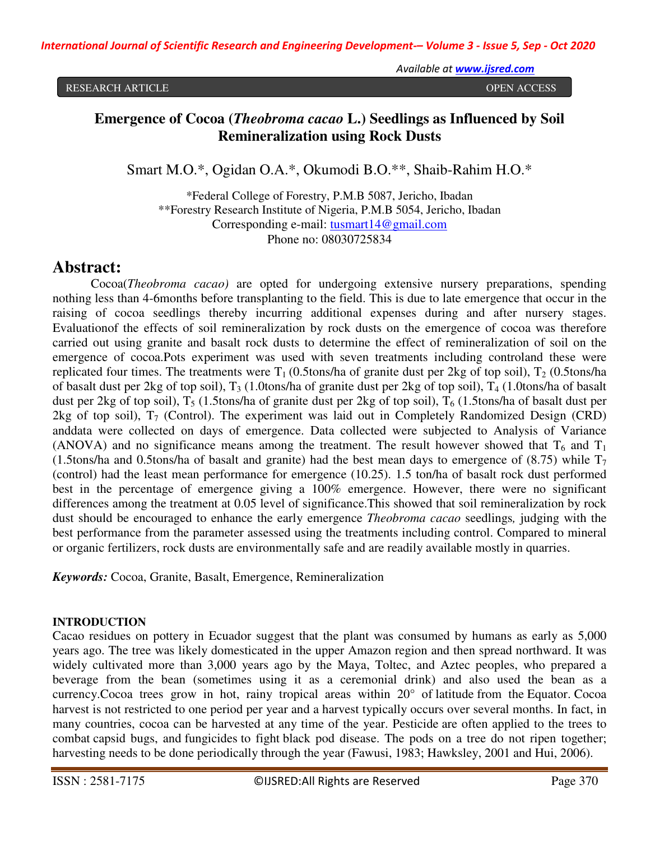RESEARCH ARTICLE OPEN ACCESS

# **Emergence of Cocoa (***Theobroma cacao* **L.) Seedlings as Influenced by Soil Remineralization using Rock Dusts**

Smart M.O.\*, Ogidan O.A.\*, Okumodi B.O.\*\*, Shaib-Rahim H.O.\*

\*Federal College of Forestry, P.M.B 5087, Jericho, Ibadan \*\*Forestry Research Institute of Nigeria, P.M.B 5054, Jericho, Ibadan Corresponding e-mail: tusmart14@gmail.com Phone no: 08030725834

# **Abstract:**

Cocoa(*Theobroma cacao)* are opted for undergoing extensive nursery preparations, spending nothing less than 4-6months before transplanting to the field. This is due to late emergence that occur in the raising of cocoa seedlings thereby incurring additional expenses during and after nursery stages. Evaluationof the effects of soil remineralization by rock dusts on the emergence of cocoa was therefore carried out using granite and basalt rock dusts to determine the effect of remineralization of soil on the emergence of cocoa.Pots experiment was used with seven treatments including controland these were replicated four times. The treatments were  $T_1$  (0.5tons/ha of granite dust per 2kg of top soil),  $T_2$  (0.5tons/ha of basalt dust per 2kg of top soil),  $T_3$  (1.0tons/ha of granite dust per 2kg of top soil),  $T_4$  (1.0tons/ha of basalt dust per 2kg of top soil),  $T_5$  (1.5tons/ha of granite dust per 2kg of top soil),  $T_6$  (1.5tons/ha of basalt dust per 2kg of top soil),  $T_7$  (Control). The experiment was laid out in Completely Randomized Design (CRD) anddata were collected on days of emergence. Data collected were subjected to Analysis of Variance (ANOVA) and no significance means among the treatment. The result however showed that  $T_6$  and  $T_1$ (1.5tons/ha and 0.5tons/ha of basalt and granite) had the best mean days to emergence of (8.75) while  $T_7$ (control) had the least mean performance for emergence (10.25). 1.5 ton/ha of basalt rock dust performed best in the percentage of emergence giving a 100% emergence. However, there were no significant differences among the treatment at 0.05 level of significance.This showed that soil remineralization by rock dust should be encouraged to enhance the early emergence *Theobroma cacao* seedlings*,* judging with the best performance from the parameter assessed using the treatments including control. Compared to mineral or organic fertilizers, rock dusts are environmentally safe and are readily available mostly in quarries.

*Keywords:* Cocoa, Granite, Basalt, Emergence, Remineralization

# **INTRODUCTION**

Cacao residues on pottery in Ecuador suggest that the plant was consumed by humans as early as 5,000 years ago. The tree was likely domesticated in the upper Amazon region and then spread northward. It was widely cultivated more than 3,000 years ago by the Maya, Toltec, and Aztec peoples, who prepared a beverage from the bean (sometimes using it as a ceremonial drink) and also used the bean as a currency.Cocoa trees grow in hot, rainy tropical areas within 20° of latitude from the Equator. Cocoa harvest is not restricted to one period per year and a harvest typically occurs over several months. In fact, in many countries, cocoa can be harvested at any time of the year. Pesticide are often applied to the trees to combat capsid bugs, and fungicides to fight black pod disease. The pods on a tree do not ripen together; harvesting needs to be done periodically through the year (Fawusi, 1983; Hawksley, 2001 and Hui, 2006).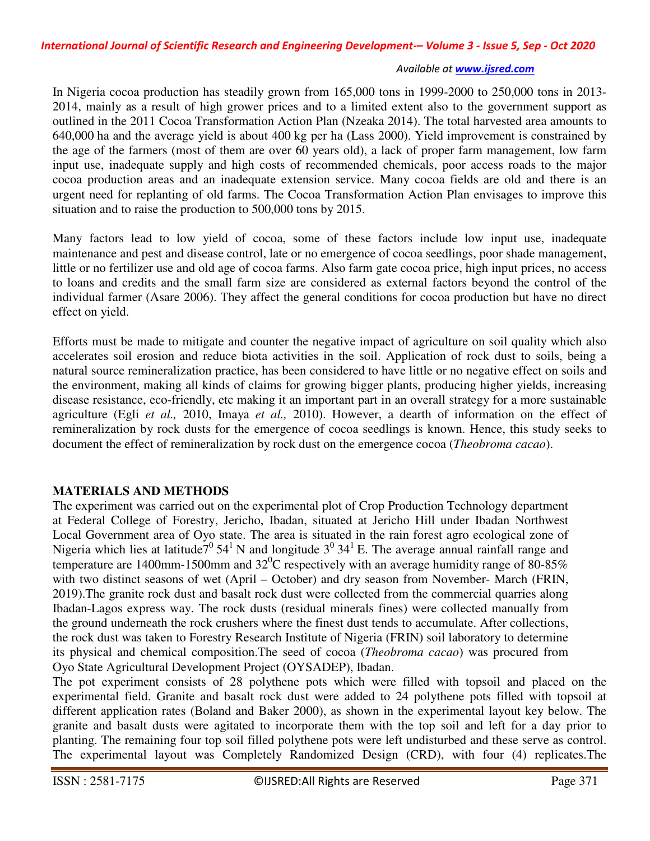In Nigeria cocoa production has steadily grown from 165,000 tons in 1999-2000 to 250,000 tons in 2013- 2014, mainly as a result of high grower prices and to a limited extent also to the government support as outlined in the 2011 Cocoa Transformation Action Plan (Nzeaka 2014). The total harvested area amounts to 640,000 ha and the average yield is about 400 kg per ha (Lass 2000). Yield improvement is constrained by the age of the farmers (most of them are over 60 years old), a lack of proper farm management, low farm input use, inadequate supply and high costs of recommended chemicals, poor access roads to the major cocoa production areas and an inadequate extension service. Many cocoa fields are old and there is an urgent need for replanting of old farms. The Cocoa Transformation Action Plan envisages to improve this situation and to raise the production to 500,000 tons by 2015.

Many factors lead to low yield of cocoa, some of these factors include low input use, inadequate maintenance and pest and disease control, late or no emergence of cocoa seedlings, poor shade management, little or no fertilizer use and old age of cocoa farms. Also farm gate cocoa price, high input prices, no access to loans and credits and the small farm size are considered as external factors beyond the control of the individual farmer (Asare 2006). They affect the general conditions for cocoa production but have no direct effect on yield.

Efforts must be made to mitigate and counter the negative impact of agriculture on soil quality which also accelerates soil erosion and reduce biota activities in the soil. Application of rock dust to soils, being a natural source remineralization practice, has been considered to have little or no negative effect on soils and the environment, making all kinds of claims for growing bigger plants, producing higher yields, increasing disease resistance, eco-friendly, etc making it an important part in an overall strategy for a more sustainable agriculture (Egli *et al.,* 2010, Imaya *et al.,* 2010). However, a dearth of information on the effect of remineralization by rock dusts for the emergence of cocoa seedlings is known. Hence, this study seeks to document the effect of remineralization by rock dust on the emergence cocoa (*Theobroma cacao*).

# **MATERIALS AND METHODS**

The experiment was carried out on the experimental plot of Crop Production Technology department at Federal College of Forestry, Jericho, Ibadan, situated at Jericho Hill under Ibadan Northwest Local Government area of Oyo state. The area is situated in the rain forest agro ecological zone of Nigeria which lies at latitude<sup>70</sup> 54<sup>1</sup>N and longitude  $3^0$  34<sup>1</sup>E. The average annual rainfall range and temperature are 1400mm-1500mm and  $32^{\circ}$ C respectively with an average humidity range of 80-85% with two distinct seasons of wet (April – October) and dry season from November- March (FRIN, 2019).The granite rock dust and basalt rock dust were collected from the commercial quarries along Ibadan-Lagos express way. The rock dusts (residual minerals fines) were collected manually from the ground underneath the rock crushers where the finest dust tends to accumulate. After collections, the rock dust was taken to Forestry Research Institute of Nigeria (FRIN) soil laboratory to determine its physical and chemical composition.The seed of cocoa (*Theobroma cacao*) was procured from Oyo State Agricultural Development Project (OYSADEP), Ibadan.

The pot experiment consists of 28 polythene pots which were filled with topsoil and placed on the experimental field. Granite and basalt rock dust were added to 24 polythene pots filled with topsoil at different application rates (Boland and Baker 2000), as shown in the experimental layout key below. The granite and basalt dusts were agitated to incorporate them with the top soil and left for a day prior to planting. The remaining four top soil filled polythene pots were left undisturbed and these serve as control. The experimental layout was Completely Randomized Design (CRD), with four (4) replicates.The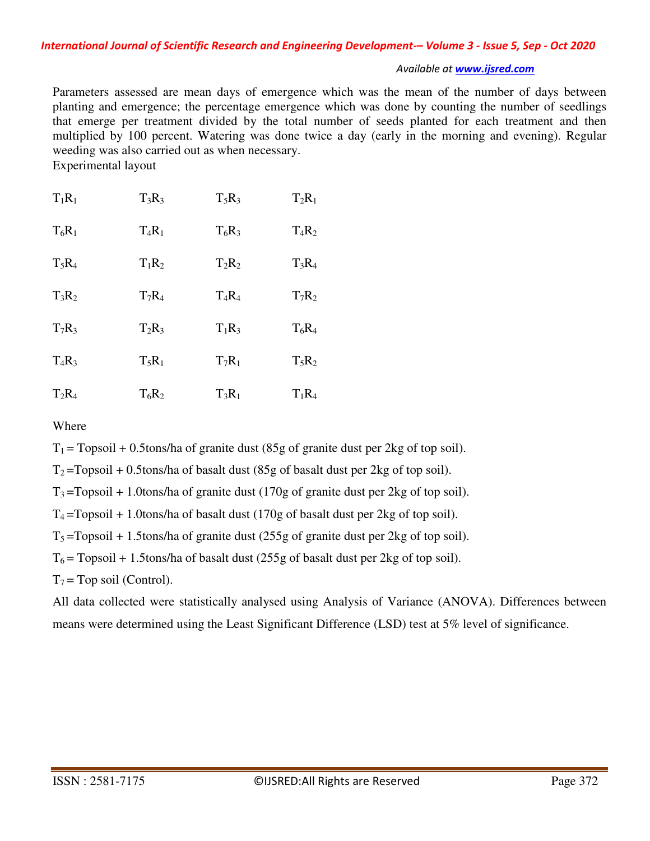Parameters assessed are mean days of emergence which was the mean of the number of days between planting and emergence; the percentage emergence which was done by counting the number of seedlings that emerge per treatment divided by the total number of seeds planted for each treatment and then multiplied by 100 percent. Watering was done twice a day (early in the morning and evening). Regular weeding was also carried out as when necessary. Experimental layout

| $T_1R_1$ | $T_3R_3$ | $T_5R_3$ | $T_2R_1$ |
|----------|----------|----------|----------|
| $T_6R_1$ | $T_4R_1$ | $T_6R_3$ | $T_4R_2$ |
| $T_5R_4$ | $T_1R_2$ | $T_2R_2$ | $T_3R_4$ |
| $T_3R_2$ | $T_7R_4$ | $T_4R_4$ | $T_7R_2$ |
| $T_7R_3$ | $T_2R_3$ | $T_1R_3$ | $T_6R_4$ |
| $T_4R_3$ | $T_5R_1$ | $T_7R_1$ | $T_5R_2$ |
| $T_2R_4$ | $T_6R_2$ | $T_3R_1$ | $T_1R_4$ |

Where

 $T_1$  = Topsoil + 0.5tons/ha of granite dust (85g of granite dust per 2kg of top soil).

 $T_2$ =Topsoil + 0.5tons/ha of basalt dust (85g of basalt dust per 2kg of top soil).

 $T_3$ =Topsoil + 1.0tons/ha of granite dust (170g of granite dust per 2kg of top soil).

 $T_4$ =Topsoil + 1.0tons/ha of basalt dust (170g of basalt dust per 2kg of top soil).

 $T_5$ =Topsoil + 1.5tons/ha of granite dust (255g of granite dust per 2kg of top soil).

 $T_6$  = Topsoil + 1.5tons/ha of basalt dust (255g of basalt dust per 2kg of top soil).

 $T_7$  = Top soil (Control).

All data collected were statistically analysed using Analysis of Variance (ANOVA). Differences between means were determined using the Least Significant Difference (LSD) test at 5% level of significance.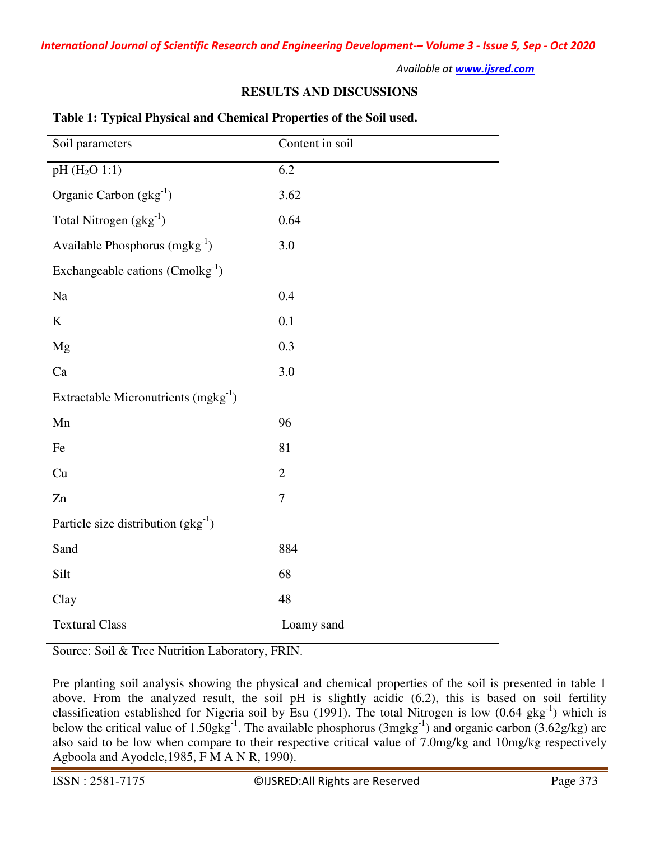### **RESULTS AND DISCUSSIONS**

| Soil parameters                          | Content in soil  |  |  |  |
|------------------------------------------|------------------|--|--|--|
| pH (H <sub>2</sub> O 1:1)                | 6.2              |  |  |  |
| Organic Carbon $(gkg^{-1})$              | 3.62             |  |  |  |
| Total Nitrogen $(gkg^{-1})$              | 0.64             |  |  |  |
| Available Phosphorus $(mgkg^{-1})$       | 3.0              |  |  |  |
| Exchangeable cations $(Conolkg-1)$       |                  |  |  |  |
| Na                                       | 0.4              |  |  |  |
| $\bf K$                                  | 0.1              |  |  |  |
| Mg                                       | 0.3              |  |  |  |
| Ca                                       | 3.0              |  |  |  |
| Extractable Micronutrients $(mgkg^{-1})$ |                  |  |  |  |
| Mn                                       | 96               |  |  |  |
| Fe                                       | 81               |  |  |  |
| Cu                                       | $\mathbf{2}$     |  |  |  |
| Zn                                       | $\boldsymbol{7}$ |  |  |  |
| Particle size distribution $(gkg^{-1})$  |                  |  |  |  |
| Sand                                     | 884              |  |  |  |
| Silt                                     | 68               |  |  |  |
| Clay                                     | 48               |  |  |  |
| <b>Textural Class</b>                    | Loamy sand       |  |  |  |

### **Table 1: Typical Physical and Chemical Properties of the Soil used.**

Source: Soil & Tree Nutrition Laboratory, FRIN.

Pre planting soil analysis showing the physical and chemical properties of the soil is presented in table 1 above. From the analyzed result, the soil pH is slightly acidic (6.2), this is based on soil fertility classification established for Nigeria soil by Esu (1991). The total Nitrogen is low  $(0.64 \text{ gkg}^{-1})$  which is below the critical value of 1.50gkg<sup>-1</sup>. The available phosphorus (3mgkg<sup>-1</sup>) and organic carbon (3.62g/kg) are also said to be low when compare to their respective critical value of 7.0mg/kg and 10mg/kg respectively Agboola and Ayodele,1985, F M A N R, 1990).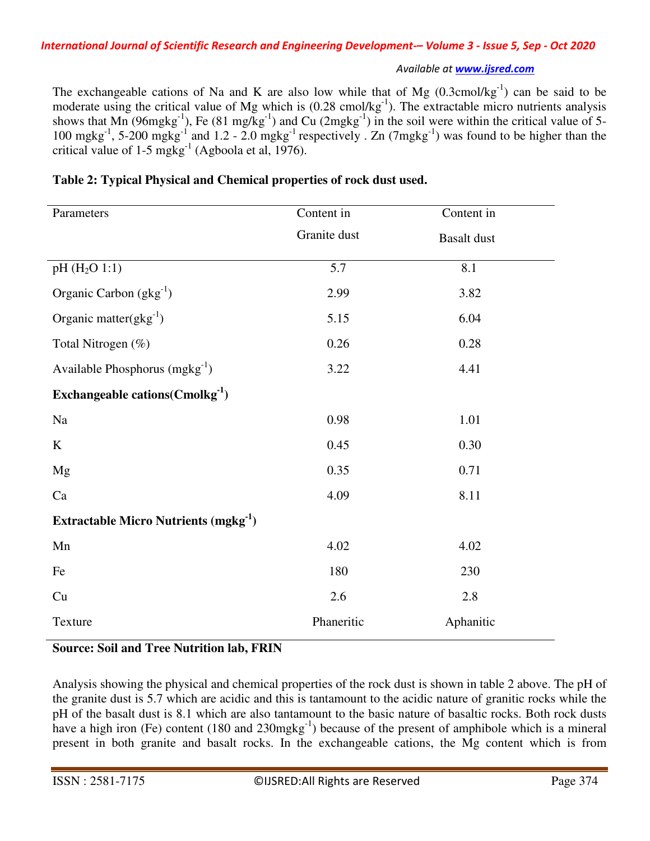The exchangeable cations of Na and K are also low while that of Mg  $(0.3 \text{cmol/kg}^{-1})$  can be said to be moderate using the critical value of Mg which is  $(0.28 \text{ cmol/kg}^{-1})$ . The extractable micro nutrients analysis shows that Mn (96mgkg<sup>-1</sup>), Fe (81 mg/kg<sup>-1</sup>) and Cu (2mgkg<sup>-1</sup>) in the soil were within the critical value of 5-100 mgkg<sup>-1</sup>, 5-200 mgkg<sup>-1</sup> and 1.2 - 2.0 mgkg<sup>-1</sup> respectively . Zn (7mgkg<sup>-1</sup>) was found to be higher than the critical value of  $1-5$  mgkg<sup>-1</sup> (Agboola et al, 1976).

| Parameters                                             | Content in   | Content in         |  |
|--------------------------------------------------------|--------------|--------------------|--|
|                                                        | Granite dust | <b>Basalt</b> dust |  |
| $pH(H_2O 1:1)$                                         | 5.7          | 8.1                |  |
| Organic Carbon $(gkg^{-1})$                            | 2.99         | 3.82               |  |
| Organic matter( $gkg^{-1}$ )                           | 5.15         | 6.04               |  |
| Total Nitrogen (%)                                     | 0.26         | 0.28               |  |
| Available Phosphorus $(mgkg^{-1})$                     | 3.22         | 4.41               |  |
| Exchangeable cations ( $Cmolkg^{-1}$ )                 |              |                    |  |
| Na                                                     | 0.98         | 1.01               |  |
| K                                                      | 0.45         | 0.30               |  |
| Mg                                                     | 0.35         | 0.71               |  |
| Ca                                                     | 4.09         | 8.11               |  |
| <b>Extractable Micro Nutrients (mgkg<sup>-1</sup>)</b> |              |                    |  |
| Mn                                                     | 4.02         | 4.02               |  |
| Fe                                                     | 180          | 230                |  |
| Cu                                                     | 2.6          | 2.8                |  |
| Texture                                                | Phaneritic   | Aphanitic          |  |

# **Table 2: Typical Physical and Chemical properties of rock dust used.**

**Source: Soil and Tree Nutrition lab, FRIN** 

Analysis showing the physical and chemical properties of the rock dust is shown in table 2 above. The pH of the granite dust is 5.7 which are acidic and this is tantamount to the acidic nature of granitic rocks while the pH of the basalt dust is 8.1 which are also tantamount to the basic nature of basaltic rocks. Both rock dusts have a high iron (Fe) content (180 and 230mgkg<sup>-1</sup>) because of the present of amphibole which is a mineral present in both granite and basalt rocks. In the exchangeable cations, the Mg content which is from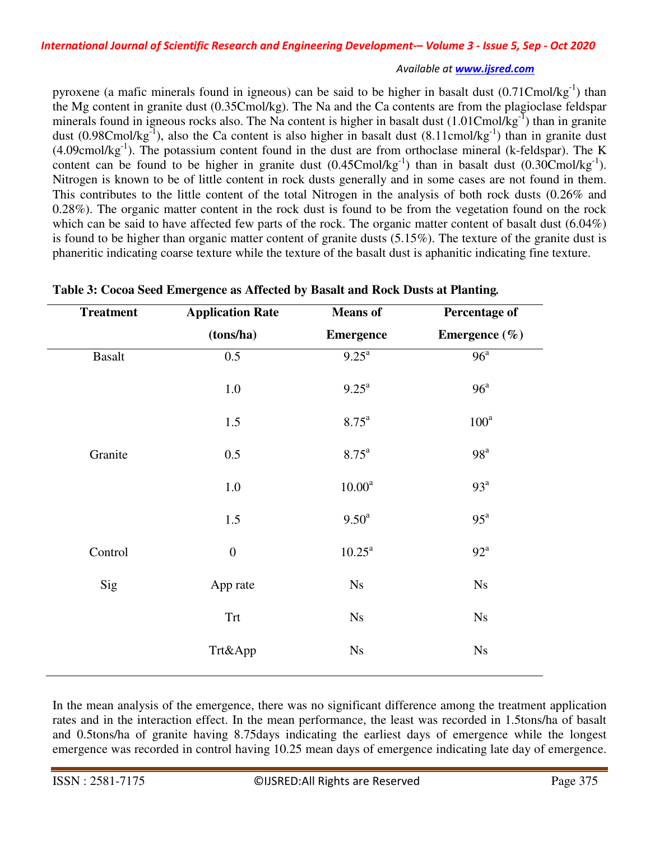pyroxene (a mafic minerals found in igneous) can be said to be higher in basalt dust  $(0.71C \text{mol/kg}^{-1})$  than the Mg content in granite dust (0.35Cmol/kg). The Na and the Ca contents are from the plagioclase feldspar minerals found in igneous rocks also. The Na content is higher in basalt dust  $(1.01C \text{mol/kg}^{-1})$  than in granite dust  $(0.98 \text{C} \text{mol/kg}^{-1})$ , also the Ca content is also higher in basalt dust  $(8.11 \text{cmol/kg}^{-1})$  than in granite dust  $(4.09 \text{cmol/kg}^{-1})$ . The potassium content found in the dust are from orthoclase mineral (k-feldspar). The K content can be found to be higher in granite dust  $(0.45 \text{Cmol/kg}^{-1})$  than in basalt dust  $(0.30 \text{Cmol/kg}^{-1})$ . Nitrogen is known to be of little content in rock dusts generally and in some cases are not found in them. This contributes to the little content of the total Nitrogen in the analysis of both rock dusts (0.26% and 0.28%). The organic matter content in the rock dust is found to be from the vegetation found on the rock which can be said to have affected few parts of the rock. The organic matter content of basalt dust (6.04%) is found to be higher than organic matter content of granite dusts (5.15%). The texture of the granite dust is phaneritic indicating coarse texture while the texture of the basalt dust is aphanitic indicating fine texture.

| <b>Treatment</b> | <b>Application Rate</b> | <b>Means</b> of     | <b>Percentage of</b>   |
|------------------|-------------------------|---------------------|------------------------|
|                  | (tons/ha)               | <b>Emergence</b>    | Emergence $(\% )$      |
| <b>Basalt</b>    | 0.5                     | $9.25^{\text{a}}$   | 96 <sup>a</sup>        |
|                  | $1.0\,$                 | $9.25^{\text{a}}$   | 96 <sup>a</sup>        |
|                  | 1.5                     | $8.75^{\mathrm{a}}$ | $100^a$                |
| Granite          | 0.5                     | $8.75^{\rm a}$      | 98 <sup>a</sup>        |
|                  | 1.0                     | 10.00 <sup>a</sup>  | 93 <sup>a</sup>        |
|                  | 1.5                     | 9.50 <sup>a</sup>   | $95^{\mathrm{a}}$      |
| Control          | $\boldsymbol{0}$        | $10.25^{\text{a}}$  | $92^{\mathrm{a}}$      |
| Sig              | App rate                | N <sub>S</sub>      | Ns                     |
|                  | <b>Trt</b>              | Ns                  | N <sub>S</sub>         |
|                  | Trt&App                 | Ns                  | $\mathbf{N}\mathbf{s}$ |
|                  |                         |                     |                        |

**Table 3: Cocoa Seed Emergence as Affected by Basalt and Rock Dusts at Planting***.*

In the mean analysis of the emergence, there was no significant difference among the treatment application rates and in the interaction effect. In the mean performance, the least was recorded in 1.5tons/ha of basalt and 0.5tons/ha of granite having 8.75days indicating the earliest days of emergence while the longest emergence was recorded in control having 10.25 mean days of emergence indicating late day of emergence.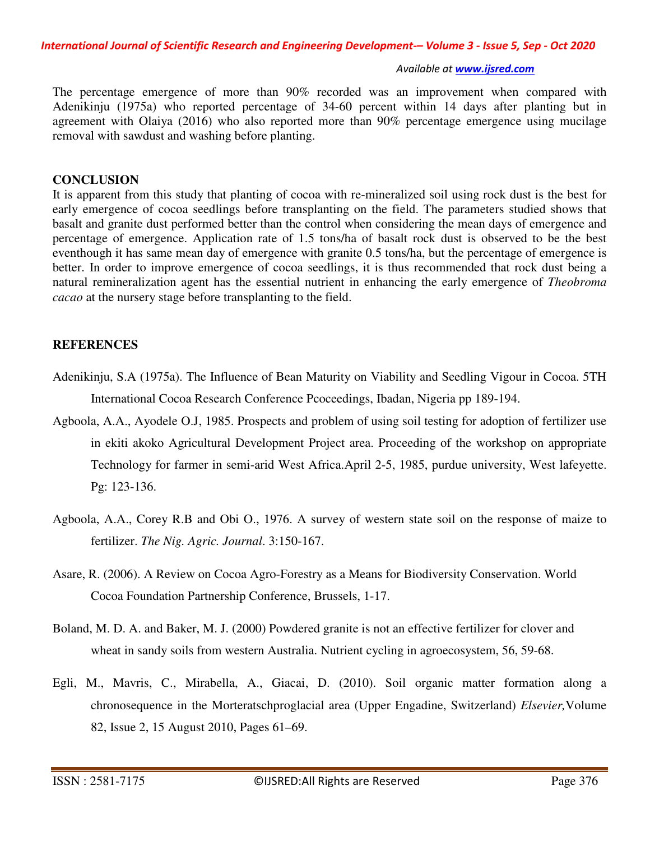The percentage emergence of more than 90% recorded was an improvement when compared with Adenikinju (1975a) who reported percentage of 34-60 percent within 14 days after planting but in agreement with Olaiya (2016) who also reported more than 90% percentage emergence using mucilage removal with sawdust and washing before planting.

#### **CONCLUSION**

It is apparent from this study that planting of cocoa with re-mineralized soil using rock dust is the best for early emergence of cocoa seedlings before transplanting on the field. The parameters studied shows that basalt and granite dust performed better than the control when considering the mean days of emergence and percentage of emergence. Application rate of 1.5 tons/ha of basalt rock dust is observed to be the best eventhough it has same mean day of emergence with granite 0.5 tons/ha, but the percentage of emergence is better. In order to improve emergence of cocoa seedlings, it is thus recommended that rock dust being a natural remineralization agent has the essential nutrient in enhancing the early emergence of *Theobroma cacao* at the nursery stage before transplanting to the field.

# **REFERENCES**

- Adenikinju, S.A (1975a). The Influence of Bean Maturity on Viability and Seedling Vigour in Cocoa. 5TH International Cocoa Research Conference Pcoceedings, Ibadan, Nigeria pp 189-194.
- Agboola, A.A., Ayodele O.J, 1985. Prospects and problem of using soil testing for adoption of fertilizer use in ekiti akoko Agricultural Development Project area. Proceeding of the workshop on appropriate Technology for farmer in semi-arid West Africa.April 2-5, 1985, purdue university, West lafeyette. Pg: 123-136.
- Agboola, A.A., Corey R.B and Obi O., 1976. A survey of western state soil on the response of maize to fertilizer. *The Nig. Agric. Journal*. 3:150-167.
- Asare, R. (2006). A Review on Cocoa Agro-Forestry as a Means for Biodiversity Conservation. World Cocoa Foundation Partnership Conference, Brussels, 1-17.
- Boland, M. D. A. and Baker, M. J. (2000) Powdered granite is not an effective fertilizer for clover and wheat in sandy soils from western Australia. Nutrient cycling in agroecosystem, 56, 59-68.
- Egli, M., Mavris, C., Mirabella, A., Giacai, D. (2010). Soil organic matter formation along a chronosequence in the Morteratschproglacial area (Upper Engadine, Switzerland) *Elsevier,*Volume 82, Issue 2, 15 August 2010, Pages 61–69.